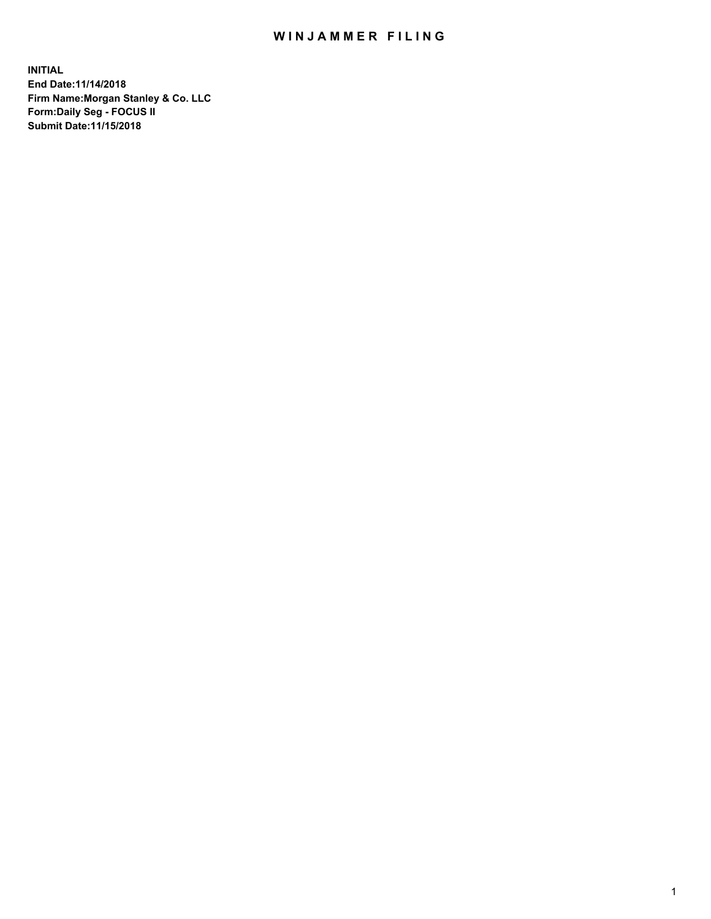## WIN JAMMER FILING

**INITIAL End Date:11/14/2018 Firm Name:Morgan Stanley & Co. LLC Form:Daily Seg - FOCUS II Submit Date:11/15/2018**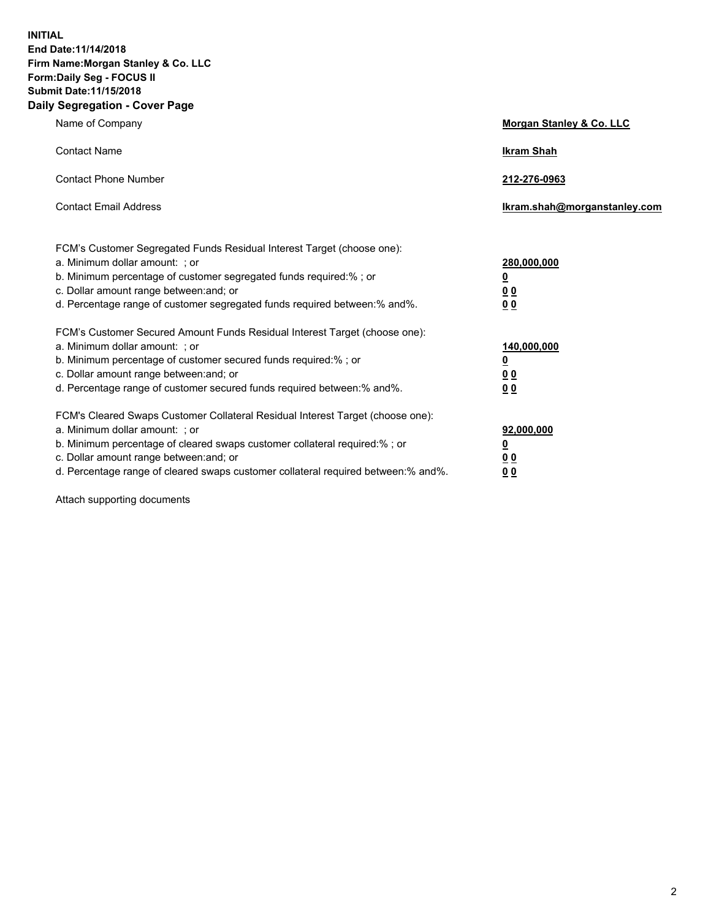**INITIAL End Date:11/14/2018 Firm Name:Morgan Stanley & Co. LLC Form:Daily Seg - FOCUS II Submit Date:11/15/2018 Daily Segregation - Cover Page**

| Name of Company                                                                                                                                                                                                                                                                                                                | Morgan Stanley & Co. LLC                                    |
|--------------------------------------------------------------------------------------------------------------------------------------------------------------------------------------------------------------------------------------------------------------------------------------------------------------------------------|-------------------------------------------------------------|
| <b>Contact Name</b>                                                                                                                                                                                                                                                                                                            | <b>Ikram Shah</b>                                           |
| <b>Contact Phone Number</b>                                                                                                                                                                                                                                                                                                    | 212-276-0963                                                |
| <b>Contact Email Address</b>                                                                                                                                                                                                                                                                                                   | Ikram.shah@morganstanley.com                                |
| FCM's Customer Segregated Funds Residual Interest Target (choose one):<br>a. Minimum dollar amount: ; or<br>b. Minimum percentage of customer segregated funds required:% ; or<br>c. Dollar amount range between: and; or<br>d. Percentage range of customer segregated funds required between: % and %.                       | 280,000,000<br><u>0</u><br>00<br>00                         |
| FCM's Customer Secured Amount Funds Residual Interest Target (choose one):<br>a. Minimum dollar amount: ; or<br>b. Minimum percentage of customer secured funds required:%; or<br>c. Dollar amount range between: and; or<br>d. Percentage range of customer secured funds required between:% and%.                            | 140,000,000<br><u>0</u><br>0 <sub>0</sub><br>0 <sub>0</sub> |
| FCM's Cleared Swaps Customer Collateral Residual Interest Target (choose one):<br>a. Minimum dollar amount: ; or<br>b. Minimum percentage of cleared swaps customer collateral required:% ; or<br>c. Dollar amount range between: and; or<br>d. Percentage range of cleared swaps customer collateral required between:% and%. | 92,000,000<br><u>0</u><br><u>00</u><br>0 <sub>0</sub>       |

Attach supporting documents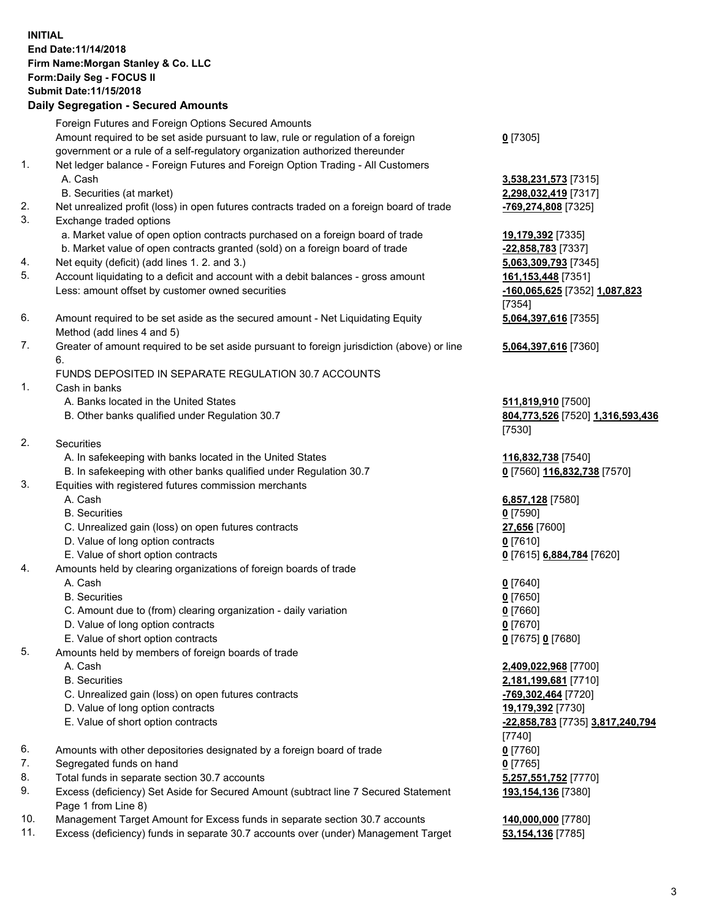## **INITIAL End Date:11/14/2018 Firm Name:Morgan Stanley & Co. LLC Form:Daily Seg - FOCUS II Submit Date:11/15/2018**

## **Daily Segregation - Secured Amounts**

Foreign Futures and Foreign Options Secured Amounts Amount required to be set aside pursuant to law, rule or regulation of a foreign government or a rule of a self-regulatory organization authorized thereunder 1. Net ledger balance - Foreign Futures and Foreign Option Trading - All Customers A. Cash **3,538,231,573** [7315] B. Securities (at market) **2,298,032,419** [7317] 2. Net unrealized profit (loss) in open futures contracts traded on a foreign board of trade **-769,274,808** [7325] 3. Exchange traded options a. Market value of open option contracts purchased on a foreign board of trade **19,179,392** [7335] b. Market value of open contracts granted (sold) on a foreign board of trade **-22,858,783** [7337] 4. Net equity (deficit) (add lines 1. 2. and 3.) **5,063,309,793** [7345]

- 5. Account liquidating to a deficit and account with a debit balances gross amount **161,153,448** [7351] Less: amount offset by customer owned securities **-160,065,625** [7352] **1,087,823**
- 6. Amount required to be set aside as the secured amount Net Liquidating Equity Method (add lines 4 and 5)
- 7. Greater of amount required to be set aside pursuant to foreign jurisdiction (above) or line 6.

## FUNDS DEPOSITED IN SEPARATE REGULATION 30.7 ACCOUNTS

- 1. Cash in banks
	- A. Banks located in the United States **511,819,910** [7500]
	- B. Other banks qualified under Regulation 30.7 **804,773,526** [7520] **1,316,593,436**
- 2. Securities
	- A. In safekeeping with banks located in the United States **116,832,738** [7540]
	- B. In safekeeping with other banks qualified under Regulation 30.7 **0** [7560] **116,832,738** [7570]
- 3. Equities with registered futures commission merchants
	-
	- B. Securities **0** [7590]
	- C. Unrealized gain (loss) on open futures contracts **27,656** [7600]
	- D. Value of long option contracts **0** [7610]
- E. Value of short option contracts **0** [7615] **6,884,784** [7620]
- 4. Amounts held by clearing organizations of foreign boards of trade
	- A. Cash **0** [7640]
	- B. Securities **0** [7650]
	- C. Amount due to (from) clearing organization daily variation **0** [7660]
	- D. Value of long option contracts **0** [7670]
	- E. Value of short option contracts **0** [7675] **0** [7680]
- 5. Amounts held by members of foreign boards of trade
	-
	-
	- C. Unrealized gain (loss) on open futures contracts **-769,302,464** [7720]
	- D. Value of long option contracts **19,179,392** [7730]
	- E. Value of short option contracts **-22,858,783** [7735] **3,817,240,794**
- 6. Amounts with other depositories designated by a foreign board of trade **0** [7760]
- 7. Segregated funds on hand **0** [7765]
- 8. Total funds in separate section 30.7 accounts **5,257,551,752** [7770]
- 9. Excess (deficiency) Set Aside for Secured Amount (subtract line 7 Secured Statement Page 1 from Line 8)
- 10. Management Target Amount for Excess funds in separate section 30.7 accounts **140,000,000** [7780]
- 11. Excess (deficiency) funds in separate 30.7 accounts over (under) Management Target **53,154,136** [7785]

**0** [7305]

[7354] **5,064,397,616** [7355]

**5,064,397,616** [7360]

[7530]

A. Cash **6,857,128** [7580]

 A. Cash **2,409,022,968** [7700] B. Securities **2,181,199,681** [7710] [7740] **193,154,136** [7380]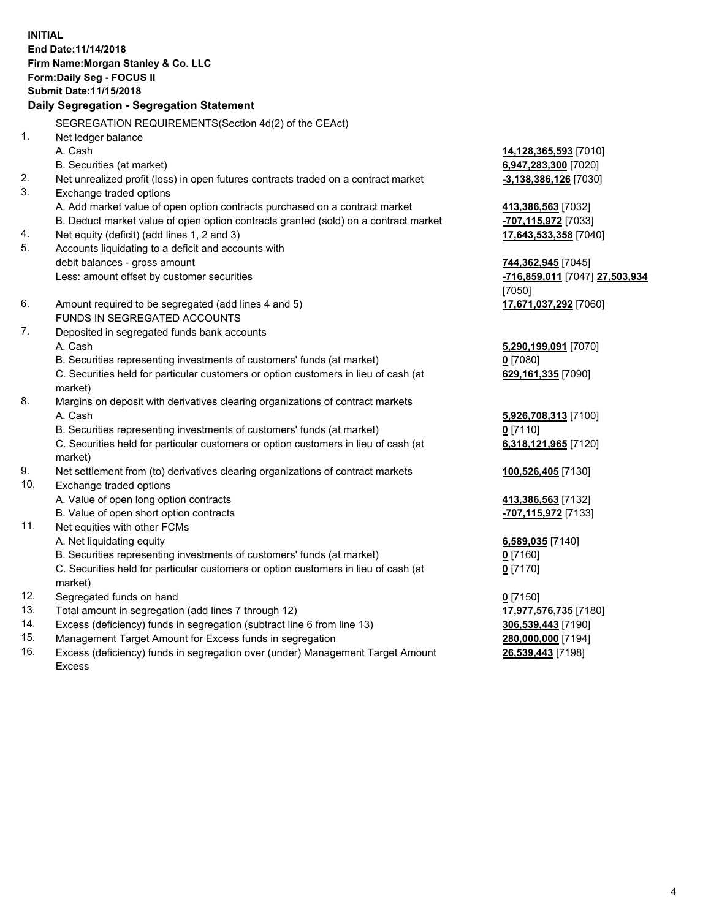**INITIAL End Date:11/14/2018 Firm Name:Morgan Stanley & Co. LLC Form:Daily Seg - FOCUS II Submit Date:11/15/2018 Daily Segregation - Segregation Statement** SEGREGATION REQUIREMENTS(Section 4d(2) of the CEAct) 1. Net ledger balance A. Cash **14,128,365,593** [7010] B. Securities (at market) **6,947,283,300** [7020] 2. Net unrealized profit (loss) in open futures contracts traded on a contract market **-3,138,386,126** [7030] 3. Exchange traded options A. Add market value of open option contracts purchased on a contract market **413,386,563** [7032] B. Deduct market value of open option contracts granted (sold) on a contract market **-707,115,972** [7033] 4. Net equity (deficit) (add lines 1, 2 and 3) **17,643,533,358** [7040] 5. Accounts liquidating to a deficit and accounts with debit balances - gross amount **744,362,945** [7045] Less: amount offset by customer securities **-716,859,011** [7047] **27,503,934** [7050] 6. Amount required to be segregated (add lines 4 and 5) **17,671,037,292** [7060] FUNDS IN SEGREGATED ACCOUNTS 7. Deposited in segregated funds bank accounts A. Cash **5,290,199,091** [7070] B. Securities representing investments of customers' funds (at market) **0** [7080] C. Securities held for particular customers or option customers in lieu of cash (at market) **629,161,335** [7090] 8. Margins on deposit with derivatives clearing organizations of contract markets A. Cash **5,926,708,313** [7100] B. Securities representing investments of customers' funds (at market) **0** [7110] C. Securities held for particular customers or option customers in lieu of cash (at market) **6,318,121,965** [7120] 9. Net settlement from (to) derivatives clearing organizations of contract markets **100,526,405** [7130] 10. Exchange traded options A. Value of open long option contracts **413,386,563** [7132] B. Value of open short option contracts **-707,115,972** [7133] 11. Net equities with other FCMs A. Net liquidating equity **6,589,035** [7140] B. Securities representing investments of customers' funds (at market) **0** [7160] C. Securities held for particular customers or option customers in lieu of cash (at market) **0** [7170] 12. Segregated funds on hand **0** [7150] 13. Total amount in segregation (add lines 7 through 12) **17,977,576,735** [7180] 14. Excess (deficiency) funds in segregation (subtract line 6 from line 13) **306,539,443** [7190]

- 15. Management Target Amount for Excess funds in segregation **280,000,000** [7194]
- 16. Excess (deficiency) funds in segregation over (under) Management Target Amount Excess

**26,539,443** [7198]